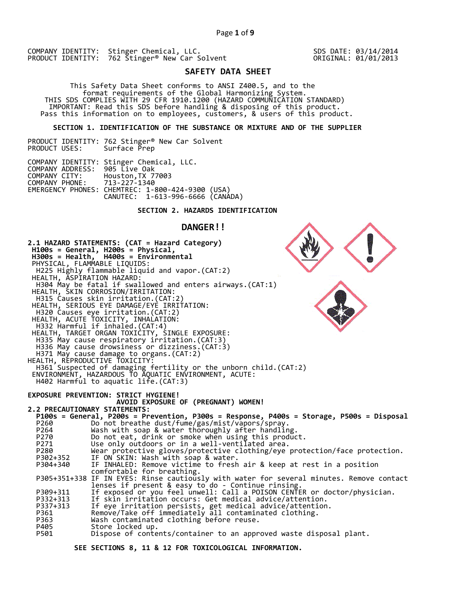SDS DATE: 03/14/2014 ORIGINAL: 01/01/2013

# **SAFETY DATA SHEET**

This Safety Data Sheet conforms to ANSI Z400.5, and to the<br>format requirements of the Global Harmonizing System.<br>THIS SDS COMPLIES WITH 29 CFR 1910.1200 (HAZARD COMMUNICATION STANDARD)<br>IMPORTANT: Read this SDS before handl

 **SECTION 1. IDENTIFICATION OF THE SUBSTANCE OR MIXTURE AND OF THE SUPPLIER**

PRODUCT IDENTITY: 762 Stinger® New Car Solvent Surface Prep

|                                 | COMPANY IDENTITY: Stinger Chemical, LLC.         |  |
|---------------------------------|--------------------------------------------------|--|
| COMPANY ADDRESS: 905 Live Oak   |                                                  |  |
| COMPANY CITY: Houston, TX 77003 |                                                  |  |
| COMPANY PHONE: 713-227-1340     |                                                  |  |
|                                 | EMERGENCY PHONES: CHEMTREC: 1-800-424-9300 (USA) |  |
|                                 | CANUTEC: 1-613-996-6666 (CANÁDA)                 |  |

## **SECTION 2. HAZARDS IDENTIFICATION**

# **DANGER!!**

**2.1 HAZARD STATEMENTS: (CAT = Hazard Category) H100s = General, H200s = Physical, H300s = Health, H400s = Environmental**  PHYSICAL, FLAMMABLE LIQUIDS: H225 Highly flammable liquid and vapor.(CAT:2) HEALTH, ASPIRATION HAZARD: H304 May be fatal if swallowed and enters airways.(CAT:1) HEALTH, SKIN CORROSION/IRRITATION: H315 Causes skin irritation.(CAT:2) HEALTH, SERIOUS EYE DAMAGE/EYE IRRITATION: H320 Causes eye irritation.(CAT:2) HEALTH, ACUTE TOXICITY, INHALATION: H332 Harmful if inhaled.(CAT:4) HEALTH, TARGET ORGAN TOXICITY, SINGLE EXPOSURE: H335 May cause respiratory irritation.(CAT:3)<br>H336 May cause drowsiness or dizziness.(CAT:3)<br>H371 May cause damage to organs.(CAT:2) HEALTH, REPRODUCTIVE TOXICITY: H361 Suspected of damaging fertility or the unborn child.(CAT:2) ENVIRONMENT, HAZARDOUS TO AQUATIC ENVIRONMENT, ACUTE: H402 Harmful to aquatic life.(CAT:3) **EXPOSURE PREVENTION: STRICT HYGIENE! AVOID EXPOSURE OF (PREGNANT) WOMEN! 2.2 PRECAUTIONARY STATEMENTS:**  P264<br>
Do not breathe dust/fume/gas/mist/vapors/spray.<br>
P270<br>
Do not eat, drink or smoke when using this product.<br>
P271<br>
Use only outdoors or in a well-ventilated area.<br>
Wear protective gloves/protective clothing/eye protec

 **SEE SECTIONS 8, 11 & 12 FOR TOXICOLOGICAL INFORMATION.**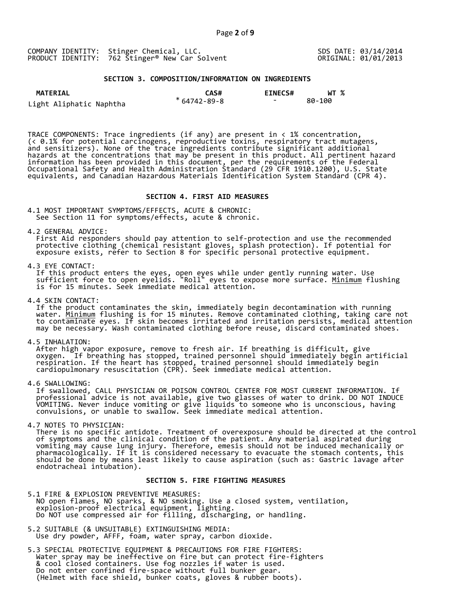### **SECTION 3. COMPOSITION/INFORMATION ON INGREDIENTS**

| <b>MATERIAL</b>         | CAS#              | <b>EINECS#</b>           | WT %   |
|-------------------------|-------------------|--------------------------|--------|
| Light Aliphatic Naphtha | $*64742 - 89 - 8$ | $\overline{\phantom{0}}$ | 80-100 |

TRACE COMPONENTS: Trace ingredients (if any) are present in < 1% concentration, (< 0.1% for potential carcinogens, reproductive toxins, respiratory tract mutagens, and sensitizers). None of the trace ingredients contribute significant additional hazards at the concentrations that may be present in this product. All pertinent hazard information has been provided in this document, per the requirements of the Federal Occupational Safety and Health Administration Standard (29 CFR 1910.1200), U.S. State equivalents, and Canadian Hazardous Materials Identification System Standard (CPR 4).

## **SECTION 4. FIRST AID MEASURES**

4.1 MOST IMPORTANT SYMPTOMS/EFFECTS, ACUTE & CHRONIC: See Section 11 for symptoms/effects, acute & chronic.

4.2 GENERAL ADVICE:<br>First Aid responders should pay attention to self-protection and use the recommended protective clothing (chemical resistant gloves, splash protection). If potential for<br>exposure exists, refer to Section 8 for specific personal protective equipment.

4.3 EYE CONTACT:<br>If this product enters the eyes, open eyes while under gently running water. Use<br>sufficient force to open eyelids. "Roll" eyes to expose more surface. <u>Minimum</u> flushing<br>is for 15 minutes. Seek immediate m

4.4 SKIN CONTACT:<br>If the product contaminates the skin, immediately begin decontamination with running<br>water. <u>Minimum</u> flushing is for 15 minutes. Remove contaminated clothing, taking care not<br>to contaminate eyes. If skin

4.5 INHALATION:<br>After high vapor exposure, remove to fresh air. If breathing is difficult, give<br>oxygen. If breathing has stopped, trained personnel should immediately begin artificial<br>respiration. If the heart has stopped,

4.6 SWALLOWING:<br>If swallowed, CALL PHYSICIAN OR POISON CONTROL CENTER FOR MOST CURRENT INFORMATION. If<br>professional advice is not available, give two glasses of water to drink. DO NOT INDUCE<br>VOMITING. Never induce vomiting

4.7 NOTES TO PHYSICIAN:<br>There is no specific antidote. Treatment of overexposure should be directed at the control of symptoms and the clinical condition of the patient. Any material aspirated during<br>vomiting may cause lung injury. Therefore, emesis should not be induced mechanically or<br>pharmacologically. If it is considered necessary

## **SECTION 5. FIRE FIGHTING MEASURES**

- 5.1 FIRE & EXPLOSION PREVENTIVE MEASURES:<br>NO open flames, NO sparks, & NO smoking. Use a closed system, ventilation,<br>explosion-proof electrical equipment, lighting.<br>Do NOT use compressed air for filling, discharging, or ha
- 5.2 SUITABLE (& UNSUITABLE) EXTINGUISHING MEDIA: Use dry powder, AFFF, foam, water spray, carbon dioxide.
- 5.3 SPECIAL PROTECTIVE EQUIPMENT & PRECAUTIONS FOR FIRE FIGHTERS:<br>Water spray may be ineffective on fire but can protect fire-fighters<br>& cool closed containers. Use fog nozzles if water is used.<br>Do not enter confined fire-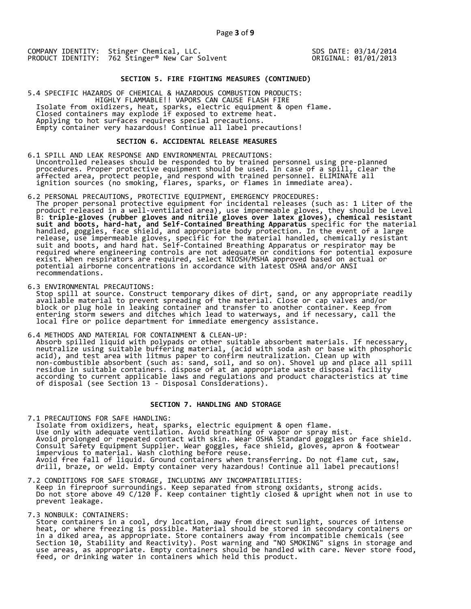SDS DATE: 03/14/2014 ORIGINAL: 01/01/2013

## **SECTION 5. FIRE FIGHTING MEASURES (CONTINUED)**

5.4 SPECIFIC HAZARDS OF CHEMICAL & HAZARDOUS COMBUSTION PRODUCTS:<br>HIGHLY FLAMMABLE!! VAPORS CAN CAUSE FLASH FIRE<br>Isolate from oxidizers, heat, sparks, electric equipment & open flame.<br>Closed containers may explode if expos

### **SECTION 6. ACCIDENTAL RELEASE MEASURES**

- 6.1 SPILL AND LEAK RESPONSE AND ENVIRONMENTAL PRECAUTIONS:<br>Uncontrolled releases should be responded to by trained personnel using pre-planned<br>procedures. Proper protective equipment should be used. In case of a spill, cle
- 6.2 PERSONAL PRECAUTIONS, PROTECTIVE EQUIPMENT, EMERGENCY PROCEDURES:<br>The proper personal protective equipment for incidental releases (such as: 1 Liter of the<br>product released in a well-ventilated area), use impermeable g
- 

6.3 ENVIRONMENTAL PRECAUTIONS:<br>Stop spill at source. Construct temporary dikes of dirt, sand, or any appropriate readily<br>available material to prevent spreading of the material. Close or cap valves and/or<br>block or plug hol

6.4 METHODS AND MATERIAL FOR CONTAINMENT & CLEAN-UP:<br>Absorb spilled liquid with polypads or other suitable absorbent materials. If necessary,<br>neutralize using suitable buffering material, (acid with soda ash or base with p

## **SECTION 7. HANDLING AND STORAGE**

7.1 PRECAUTIONS FOR SAFE HANDLING:<br>Isolate from oxidizers, heat, sparks, electric equipment & open flame.<br>Use only with adequate ventilation. Avoid breathing of vapor or spray mist.<br>Avoid prolonged or repeated contact with

- 7.2 CONDITIONS FOR SAFE STORAGE, INCLUDING ANY INCOMPATIBILITIES:<br>Keep in fireproof surroundings. Keep separated from strong oxidants, strong acids.<br>Do not store above 49 C/120 F. Keep container tightly closed & upright wh
- 

7.3 NONBULK: CONTAINERS:<br>Store containers in a cool, dry location, away from direct sunlight, sources of intense<br>heat, or where freezing is possible. Material should be stored in secondary containers or<br>in a diked area, as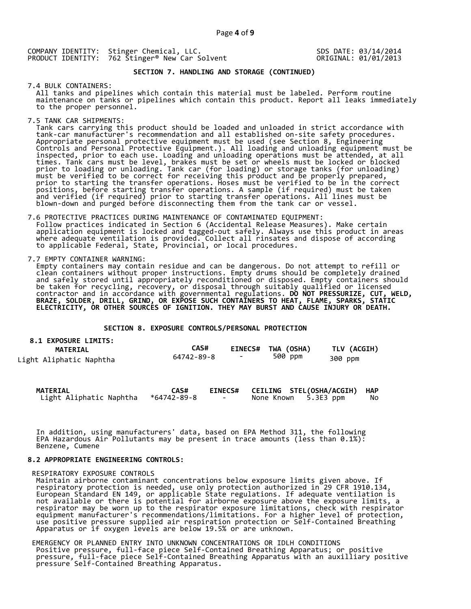SDS DATE: 03/14/2014 ORIGINAL: 01/01/2013

# **SECTION 7. HANDLING AND STORAGE (CONTINUED)**

7.4 BULK CONTAINERS:<br>All tanks and pipelines which contain this material must be labeled. Perform routine maintenance on tanks or pipelines which contain this product. Report all leaks immediately<br>to the proper personnel.

7.5 TANK CAR SHIPMENTS:<br>Tank cars carrying this product should be loaded and unloaded in strict accordance with Tank cars carrying this product should be loaded and unloaded in strict accordance with tank-car manufacturer's recommendation and all established on-site safety procedures.<br>Appropriate personal protective equipment must b

7.6 PROTECTIVE PRACTICES DURING MAINTENANCE OF CONTAMINATED EQUIPMENT:<br>Follow practices indicated in Section 6 (Accidental Release Measures). Make certain<br>application equipment is locked and tagged-out safely. Always use t

**8.1 EXPOSURE LIMITS:** 

7.7 EMPTY CONTAINER WARNING:<br>Empty containers may contain residue and can be dangerous. Do not attempt to refill or Enan containers without proper instructions. Empty drums should be completely drained<br>and safely stored until appropriately reconditioned or disposed. Empty containers should<br>be taken for recycling, recovery, or disposal t

## **SECTION 8. EXPOSURE CONTROLS/PERSONAL PROTECTION**

| <b>8.1 EXPOSURE LIMITS:</b><br><b>MATERIAL</b> | CAS#       | <b>EINECS#</b> | TWA (OSHA) | TLV (ACGIH) |
|------------------------------------------------|------------|----------------|------------|-------------|
| Light Aliphatic Naphtha                        | 64742-89-8 | $\sim$         | 500 ppm    | 300 ppm     |

| <b>MATERIAL</b>         | CAS#        |        | EINECS# CEILING STEL(OSHA/ACGIH) | <b>HAP</b> |
|-------------------------|-------------|--------|----------------------------------|------------|
| Light Aliphatic Naphtha | *64742-89-8 | $\sim$ | None Known 5.3E3 ppm             | No         |

In addition, using manufacturers' data, based on EPA Method 311, the following EPA Hazardous Air Pollutants may be present in trace amounts (less than 0.1%): Benzene, Cumene

## **8.2 APPROPRIATE ENGINEERING CONTROLS:**

## RESPIRATORY EXPOSURE CONTROLS

KESPIRAIURY EXPUSURE CUNIRULS<br>Maintain airborne contaminant concentrations below exposure limits given above. If<br>respiratory protection is needed, use only protection authorized in 29 CFR 1910.134,<br>European Standard EN 149

EMERGENCY OR PLANNED ENTRY INTO UNKNOWN CONCENTRATIONS OR IDLH CONDITIONS<br>Positive pressure, full-face piece Self-Contained Breathing Apparatus; or positive<br>pressure, full-face piece Self-Contained Breathing Apparatus with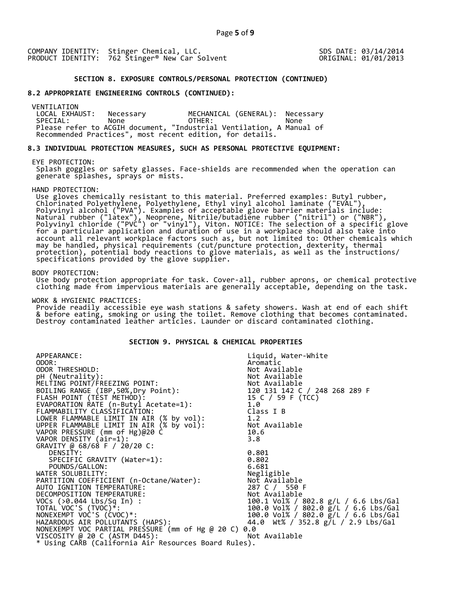SDS DATE: 03/14/2014 ORIGINAL: 01/01/2013

## **SECTION 8. EXPOSURE CONTROLS/PERSONAL PROTECTION (CONTINUED)**

## **8.2 APPROPRIATE ENGINEERING CONTROLS (CONTINUED):**

VENTILATION<br>LOCAL EXHAUST: LOCAL EXHAUST: Necessary MECHANICAL (GENERAL): Necessary SPECIAL: None OTHER: None Please refer to ACGIH document, "Industrial Ventilation, A Manual of Recommended Practices", most recent edition, for details.

## **8.3 INDIVIDUAL PROTECTION MEASURES, SUCH AS PERSONAL PROTECTIVE EQUIPMENT:**

#### EYE PROTECTION:

Splash goggles or safety glasses. Face-shields are recommended when the operation can generate splashes, sprays or mists.

HAND PROTECTION:<br>Use gloves chemically resistant to this material. Preferred examples: Butyl rubber,<br>Chlorinated Polyethylene, Polyethylene, Ethyl vinyl alcohol laminate ("EVAL"),<br>Polyvinyl alcohol ("PVA"). Examples of acc

#### BODY PROTECTION:

 Use body protection appropriate for task. Cover-all, rubber aprons, or chemical protective clothing made from impervious materials are generally acceptable, depending on the task.

WORK & HYGIENIC PRACTICES:<br>Provide readily accessible eye wash stations & safety showers. Wash at end of each shift & before eating, smoking or using the toilet. Remove clothing that becomes contaminated.<br>Destroy contaminated leather articles. Launder or discard contaminated clothing.

## **SECTION 9. PHYSICAL & CHEMICAL PROPERTIES**

| APPEARANCE:                                                                          | Liquid, Water-White                  |
|--------------------------------------------------------------------------------------|--------------------------------------|
| ODOR:                                                                                | Aromatic                             |
| ODOR THRESHOLD:                                                                      | Not Available                        |
| pH (Neutrality):                                                                     | Not Available                        |
| MELTING POINT/FREEZING POINT:                                                        | Not Available                        |
| BOILING RANGE (IBP, 50%, Dry Point):                                                 | 120 131 142 C / 248 268 289 F        |
| FLASH POINT (TÈST METHÓD):                                                           |                                      |
| EVAPORATION RATE (n-Butyl Acetate=1):                                                | 15 C / 59 F (TCC)<br>1.0<br>1.0      |
| FLAMMABILITY CLASSIFICATION:                                                         | Class I B                            |
|                                                                                      | 1.2                                  |
| LOWER FLAMMABLE LIMIT IN AIR (% by vol):<br>UPPER FLAMMABLE LIMIT IN AIR (% by vol): | Not Available                        |
| VAPOR PRESSURE (mm of Hg)@20 C                                                       | 10.6                                 |
| VAPOR DENSITY (air=1):                                                               | 3.8                                  |
| GRAVITY @ 68/68 F / 20/20 C:                                                         |                                      |
| DENSITY:                                                                             | 0.801                                |
|                                                                                      |                                      |
| SPECIFIC GRAVITY (Water=1):                                                          | 0.802                                |
| POUNDS/GALLON:                                                                       | 6.681                                |
| WATER SOLUBILITY:                                                                    | Negligible                           |
| PARTITION COEFFICIENT (n-Octane/Water):                                              | Not Available                        |
| AUTO IGNITION TEMPERATURE:                                                           | 287 C / 550 F                        |
| DECOMPOSITION TEMPERATURE:                                                           | Not Available                        |
| VOCs (>0.044 Lbs/Sq In) :                                                            | 100.1 Vol% / 802.8 g/L / 6.6 Lbs/Gal |
| TOTAL VOC'S $(TVOC)*$ :                                                              | 100.0 Vol% / 802.0 g/L / 6.6 Lbs/Gal |
| NONEXEMPT VOC'S (CVOC)*:                                                             | 100.0 Vol% / 802.0 g/L / 6.6 Lbs/Gal |
| HAZARDOUS AIR POLLUTANTS (HAPS):                                                     | 44.0 Wt% / 352.8 g/L / 2.9 Lbs/Gal   |
| NONEXEMPT VOC PARTIAL PRESSURE (mm of Hg @ 20 C) 0.0                                 |                                      |
| VISCOSITY @ 20 C (ASTM D445):                                                        | Not Available                        |
| * Using CARB (California Air Resources Board Rules).                                 |                                      |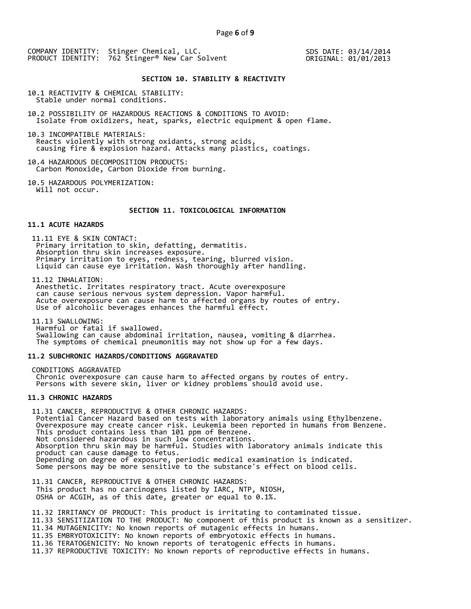SDS DATE: 03/14/2014 ORIGINAL: 01/01/2013

### **SECTION 10. STABILITY & REACTIVITY**

10.1 REACTIVITY & CHEMICAL STABILITY: Stable under normal conditions.

10.2 POSSIBILITY OF HAZARDOUS REACTIONS & CONDITIONS TO AVOID: Isolate from oxidizers, heat, sparks, electric equipment & open flame.

10.3 INCOMPATIBLE MATERIALS: Reacts violently with strong oxidants, strong acids, causing fire & explosion hazard. Attacks many plastics, coatings.

10.4 HAZARDOUS DECOMPOSITION PRODUCTS: Carbon Monoxide, Carbon Dioxide from burning.

10.5 HAZARDOUS POLYMERIZATION: Will not occur.

## **SECTION 11. TOXICOLOGICAL INFORMATION**

## **11.1 ACUTE HAZARDS**

11.11 EYE & SKIN CONTACT:<br>Primary irritation to skin, defatting, dermatitis.<br>Absorption thru skin increases exposure.<br>Primary irritation to eyes, redness, tearing, blurred vision.<br>Liquid can cause eye irritation. Wash thor

11.12 INHALATION:<br>Anesthetic. Irritates respiratory tract. Acute overexposure can cause serious nervous system depression. Vapor harmful.<br>Acute overexposure can cause harm to affected organs by routes of entry.<br>Use of alcoholic beverages enhances the harmful effect.

11.13 SWALLOWING: Swallowing can cause abdominal irritation, nausea, vomiting & diarrhea.<br>The symptoms of chemical pneumonitis may not show up for a few days.

## **11.2 SUBCHRONIC HAZARDS/CONDITIONS AGGRAVATED**

CONDITIONS AGGRAVATED Chronic overexposure can cause harm to affected organs by routes of entry.<br>Persons with severe skin, liver or kidney problems should avoid use.

## **11.3 CHRONIC HAZARDS**

11.31 CANCER, REPRODUCTIVE & OTHER CHRONIC HAZARDS:<br>
Potential Cancer Hazard based on tests with laboratory animals using Ethylbenzene.<br>
Overexposure may create cancer risk. Leukemia been reported in humans from Benzene.<br>

11.31 CANCER, REPRODUCTIVE & OTHER CHRONIC HAZARDS: This product has no carcinogens listed by IARC, NTP, NIOSH, OSHA or ACGIH, as of this date, greater or equal to 0.1%.

11.32 IRRITANCY OF PRODUCT: This product is irritating to contaminated tissue.

- 11.33 SENSITIZATION TO THE PRODUCT: No component of this product is known as a sensitizer. 11.34 MUTAGENICITY: No known reports of mutagenic effects in humans.
- 11.35 EMBRYOTOXICITY: No known reports of embryotoxic effects in humans.
- 11.36 TERATOGENICITY: No known reports of teratogenic effects in humans.

11.37 REPRODUCTIVE TOXICITY: No known reports of reproductive effects in humans.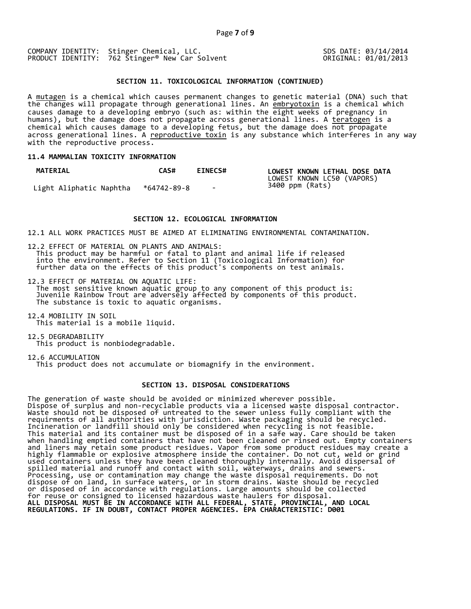SDS DATE: 03/14/2014 ORIGINAL: 01/01/2013

## **SECTION 11. TOXICOLOGICAL INFORMATION (CONTINUED)**

A <u>mutagen</u> is a chemical which causes permanent changes to genetic material (DNA) such that the changes will propagate through generational lines. An embryotoxin is a chemical which causes damage to a developing embryo (such as: within the eight weeks of pregnancy in humans), but the damage does not propagate across generational lines. A teratogen is a chemical which causes damage to a developing fetus, but the damage does not propagate across generational lines. A reproductive toxin is any substance which interferes in any way with the reproductive process.

## **11.4 MAMMALIAN TOXICITY INFORMATION**

| <b>MATERIAL</b>         | CAS#        | <b>EINECS#</b> | LOWEST KNOWN LETHAL DOSE DATA<br>LOWEST KNOWN LC50 (VAPORS) |
|-------------------------|-------------|----------------|-------------------------------------------------------------|
| Light Aliphatic Naphtha | *64742-89-8 | $\sim$         | 3400 ppm (Rats)                                             |

#### **SECTION 12. ECOLOGICAL INFORMATION**

12.1 ALL WORK PRACTICES MUST BE AIMED AT ELIMINATING ENVIRONMENTAL CONTAMINATION.

12.2 EFFECT OF MATERIAL ON PLANTS AND ANIMALS:<br>This product may be harmful or fatal to plant and animal life if released<br>into the environment. Refer to Section 11 (Toxicological Information) for<br>further data on the effects

12.3 EFFECT OF MATERIAL ON AQUATIC LIFE:<br>The most sensitive known aquatic group to any component of this product is:<br>Juvenile Rainbow Trout are adversely affected by components of this product.<br>The substance is toxic to aq

12.4 MOBILITY IN SOIL This material is a mobile liquid.

12.5 DEGRADABILITY This product is nonbiodegradable.

12.6 ACCUMULATION This product does not accumulate or biomagnify in the environment.

## **SECTION 13. DISPOSAL CONSIDERATIONS**

The generation of waste should be avoided or minimized wherever possible. Dispose of surplus and non-recyclable products via a licensed waste disposal contractor. Waste should not be disposed of untreated to the sewer unless fully compliant with the requirments of all authorities with jurisdiction. Waste packaging should be recycled. Incineration or landfill should only be considered when recycling is not feasible. This material and its container must be disposed of in a safe way. Care should be taken when handling emptied containers that have not been cleaned or rinsed out. Empty containers and liners may retain some product residues. Vapor from some product residues may create a highly flammable or explosive atmosphere inside the container. Do not cut, weld or grind used containers unless they have been cleaned thoroughly internally. Avoid dispersal of spilled material and runoff and contact with soil, waterways, drains and sewers. Processing, use or contamination may change the waste disposal requirements. Do not dispose of on land, in surface waters, or in storm drains. Waste should be recycled or disposed of in accordance with regulations. Large amounts should be collected for reuse or consigned to licensed hazardous waste haulers for disposal. **ALL DISPOSAL MUST BE IN ACCORDANCE WITH ALL FEDERAL, STATE, PROVINCIAL, AND LOCAL REGULATIONS. IF IN DOUBT, CONTACT PROPER AGENCIES. EPA CHARACTERISTIC: D001**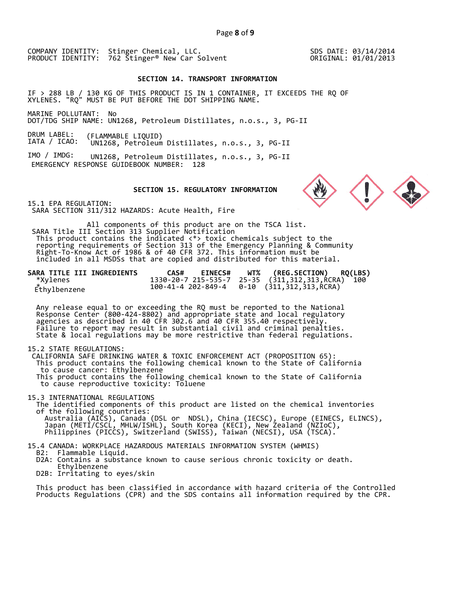SDS DATE: 03/14/2014 ORIGINAL: 01/01/2013

## **SECTION 14. TRANSPORT INFORMATION**

IF > 288 LB / 130 KG OF THIS PRODUCT IS IN 1 CONTAINER, IT EXCEEDS THE RQ OF XYLENES. "RQ" MUST BE PUT BEFORE THE DOT SHIPPING NAME.

MARINE POLLUTANT: No DOT/TDG SHIP NAME: UN1268, Petroleum Distillates, n.o.s., 3, PG-II

DRUM LABEL: IATA / ICAO: (FLAMMABLE LIQUID) UN1268, Petroleum Distillates, n.o.s., 3, PG-II

IMO / IMDG: UN1268, Petroleum Distillates, n.o.s., 3, PG-II EMERGENCY RESPONSE GUIDEBOOK NUMBER: 128

## **SECTION 15. REGULATORY INFORMATION**

15.1 EPA REGULATION: SARA SECTION 311/312 HAZARDS: Acute Health, Fire

All components of this product are on the TSCA list. SARA Title III Section 313 Supplier Notification This product contains the indicated <\*> toxic chemicals subject to the<br>reporting requirements of Section 313 of the Emergency Planning & Community<br>Right-To-Know Act of 1986 & of 40 CFR 372. This information must be<br>include

| SARA TITLE III INGREDIENTS | <b>EINECS#</b><br>CAS# | WT% (REG.SECTION) RQ(LBS)                        |
|----------------------------|------------------------|--------------------------------------------------|
| *Xylenes                   |                        | 1330-20-7 215-535-7 25-35 (311,312,313,RCRA) 100 |
| Ethylbenzene               |                        |                                                  |

Any release equal to or exceeding the RQ must be reported to the National Response Center (800-424-8802) and appropriate state and local regulatory agencies as described in 40 CFR 302.6 and 40 CFR 355.40 respectively.<br>Fail

15.2 STATE REGULATIONS:<br>CALIFORNIA SAFE DRINKING WATER & TOXIC ENFORCEMENT ACT (PROPOSITION 65): This product contains the following chemical known to the State of California to cause cancer: Ethylbenzene This product contains the following chemical known to the State of California to cause reproductive toxicity: Toluene

15.3 INTERNATIONAL REGULATIONS<br>The identified components of this product are listed on the chemical inventories of the following countries:<br>Australia (AICS), Canada (DSL or NDSL), China (IECSC), Europe (EINECS, ELINCS),<br>Japan (METI/CSCL, MHLW/ISHL), South Korea (KECI), New Zealand (NZIoC),<br>Philippines (PICCS), Switzerland (SWISS), T

15.4 CANADA: WORKPLACE HAZARDOUS MATERIALS INFORMATION SYSTEM (WHMIS) B2: Flammable Liquid. D2A: Contains a substance known to cause serious chronic toxicity or death. D2B: Irritating to eyes/skin

This product has been classified in accordance with hazard criteria of the Controlled Products Regulations (CPR) and the SDS contains all information required by the CPR.